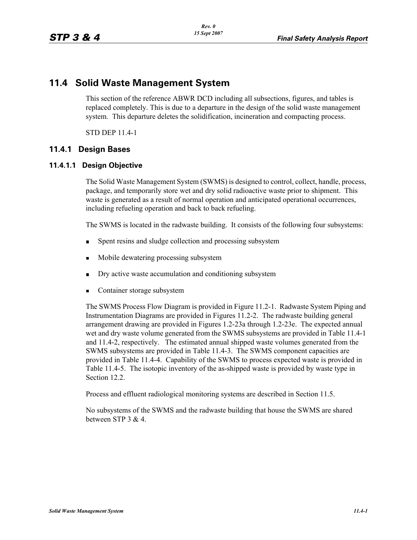# **11.4 Solid Waste Management System**

This section of the reference ABWR DCD including all subsections, figures, and tables is replaced completely. This is due to a departure in the design of the solid waste management system. This departure deletes the solidification, incineration and compacting process.

STD DEP 11.4-1

## **11.4.1 Design Bases**

### **11.4.1.1 Design Objective**

The Solid Waste Management System (SWMS) is designed to control, collect, handle, process, package, and temporarily store wet and dry solid radioactive waste prior to shipment. This waste is generated as a result of normal operation and anticipated operational occurrences, including refueling operation and back to back refueling.

The SWMS is located in the radwaste building. It consists of the following four subsystems:

- Spent resins and sludge collection and processing subsystem  $\blacksquare$
- ř. Mobile dewatering processing subsystem
- $\blacksquare$ Dry active waste accumulation and conditioning subsystem
- Container storage subsystem

The SWMS Process Flow Diagram is provided in Figure 11.2-1. Radwaste System Piping and Instrumentation Diagrams are provided in Figures 11.2-2. The radwaste building general arrangement drawing are provided in Figures 1.2-23a through 1.2-23e. The expected annual wet and dry waste volume generated from the SWMS subsystems are provided in Table 11.4-1 and 11.4-2, respectively. The estimated annual shipped waste volumes generated from the SWMS subsystems are provided in Table 11.4-3. The SWMS component capacities are provided in Table 11.4-4. Capability of the SWMS to process expected waste is provided in Table 11.4-5. The isotopic inventory of the as-shipped waste is provided by waste type in Section 12.2.

Process and effluent radiological monitoring systems are described in Section 11.5.

No subsystems of the SWMS and the radwaste building that house the SWMS are shared between STP 3 & 4.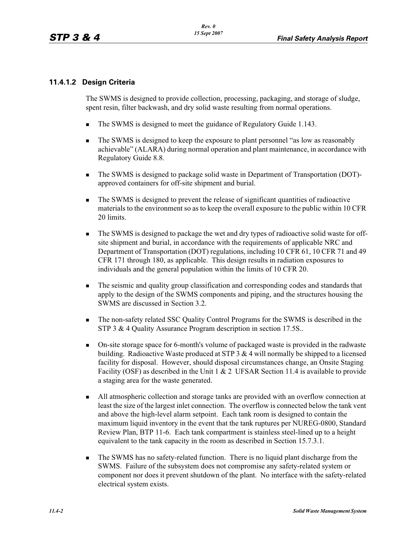## **11.4.1.2 Design Criteria**

The SWMS is designed to provide collection, processing, packaging, and storage of sludge, spent resin, filter backwash, and dry solid waste resulting from normal operations.

- -The SWMS is designed to meet the guidance of Regulatory Guide 1.143.
- - The SWMS is designed to keep the exposure to plant personnel "as low as reasonably achievable" (ALARA) during normal operation and plant maintenance, in accordance with Regulatory Guide 8.8.
- - The SWMS is designed to package solid waste in Department of Transportation (DOT) approved containers for off-site shipment and burial.
- - The SWMS is designed to prevent the release of significant quantities of radioactive materials to the environment so as to keep the overall exposure to the public within 10 CFR 20 limits.
- - The SWMS is designed to package the wet and dry types of radioactive solid waste for offsite shipment and burial, in accordance with the requirements of applicable NRC and Department of Transportation (DOT) regulations, including 10 CFR 61, 10 CFR 71 and 49 CFR 171 through 180, as applicable. This design results in radiation exposures to individuals and the general population within the limits of 10 CFR 20.
- - The seismic and quality group classification and corresponding codes and standards that apply to the design of the SWMS components and piping, and the structures housing the SWMS are discussed in Section 3.2.
- - The non-safety related SSC Quality Control Programs for the SWMS is described in the STP 3 & 4 Quality Assurance Program description in section 17.5S..
- - On-site storage space for 6-month's volume of packaged waste is provided in the radwaste building. Radioactive Waste produced at STP 3  $&$  4 will normally be shipped to a licensed facility for disposal. However, should disposal circumstances change, an Onsite Staging Facility (OSF) as described in the Unit 1 & 2 UFSAR Section 11.4 is available to provide a staging area for the waste generated.
- - All atmospheric collection and storage tanks are provided with an overflow connection at least the size of the largest inlet connection. The overflow is connected below the tank vent and above the high-level alarm setpoint. Each tank room is designed to contain the maximum liquid inventory in the event that the tank ruptures per NUREG-0800, Standard Review Plan, BTP 11-6. Each tank compartment is stainless steel-lined up to a height equivalent to the tank capacity in the room as described in Section 15.7.3.1.
- - The SWMS has no safety-related function. There is no liquid plant discharge from the SWMS. Failure of the subsystem does not compromise any safety-related system or component nor does it prevent shutdown of the plant. No interface with the safety-related electrical system exists.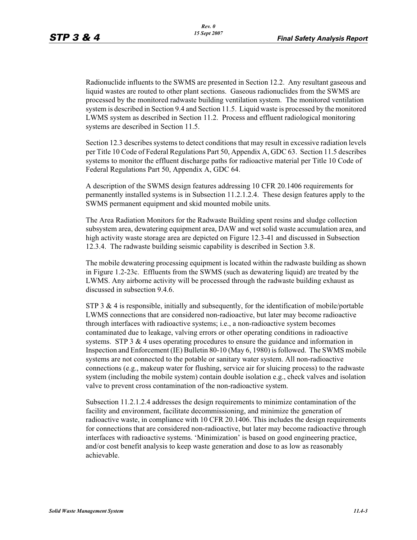Radionuclide influents to the SWMS are presented in Section 12.2. Any resultant gaseous and liquid wastes are routed to other plant sections. Gaseous radionuclides from the SWMS are processed by the monitored radwaste building ventilation system. The monitored ventilation system is described in Section 9.4 and Section 11.5. Liquid waste is processed by the monitored LWMS system as described in Section 11.2. Process and effluent radiological monitoring systems are described in Section 11.5.

Section 12.3 describes systems to detect conditions that may result in excessive radiation levels per Title 10 Code of Federal Regulations Part 50, Appendix A, GDC 63. Section 11.5 describes systems to monitor the effluent discharge paths for radioactive material per Title 10 Code of Federal Regulations Part 50, Appendix A, GDC 64.

A description of the SWMS design features addressing 10 CFR 20.1406 requirements for permanently installed systems is in Subsection 11.2.1.2.4. These design features apply to the SWMS permanent equipment and skid mounted mobile units.

The Area Radiation Monitors for the Radwaste Building spent resins and sludge collection subsystem area, dewatering equipment area, DAW and wet solid waste accumulation area, and high activity waste storage area are depicted on Figure 12.3-41 and discussed in Subsection 12.3.4. The radwaste building seismic capability is described in Section 3.8.

The mobile dewatering processing equipment is located within the radwaste building as shown in Figure 1.2-23c. Effluents from the SWMS (such as dewatering liquid) are treated by the LWMS. Any airborne activity will be processed through the radwaste building exhaust as discussed in subsection 9.4.6.

STP 3  $\&$  4 is responsible, initially and subsequently, for the identification of mobile/portable LWMS connections that are considered non-radioactive, but later may become radioactive through interfaces with radioactive systems; i.e., a non-radioactive system becomes contaminated due to leakage, valving errors or other operating conditions in radioactive systems. STP  $3 \& 4$  uses operating procedures to ensure the guidance and information in Inspection and Enforcement (IE) Bulletin 80-10 (May 6, 1980) is followed. The SWMS mobile systems are not connected to the potable or sanitary water system. All non-radioactive connections (e.g., makeup water for flushing, service air for sluicing process) to the radwaste system (including the mobile system) contain double isolation e.g., check valves and isolation valve to prevent cross contamination of the non-radioactive system.

Subsection 11.2.1.2.4 addresses the design requirements to minimize contamination of the facility and environment, facilitate decommissioning, and minimize the generation of radioactive waste, in compliance with 10 CFR 20.1406. This includes the design requirements for connections that are considered non-radioactive, but later may become radioactive through interfaces with radioactive systems. 'Minimization' is based on good engineering practice, and/or cost benefit analysis to keep waste generation and dose to as low as reasonably achievable.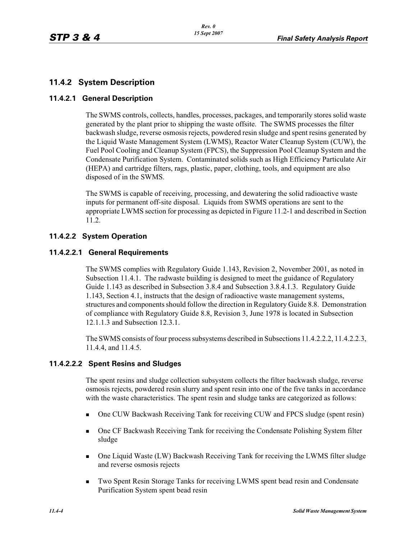## **11.4.2 System Description**

### **11.4.2.1 General Description**

The SWMS controls, collects, handles, processes, packages, and temporarily stores solid waste generated by the plant prior to shipping the waste offsite. The SWMS processes the filter backwash sludge, reverse osmosis rejects, powdered resin sludge and spent resins generated by the Liquid Waste Management System (LWMS), Reactor Water Cleanup System (CUW), the Fuel Pool Cooling and Cleanup System (FPCS), the Suppression Pool Cleanup System and the Condensate Purification System. Contaminated solids such as High Efficiency Particulate Air (HEPA) and cartridge filters, rags, plastic, paper, clothing, tools, and equipment are also disposed of in the SWMS.

The SWMS is capable of receiving, processing, and dewatering the solid radioactive waste inputs for permanent off-site disposal. Liquids from SWMS operations are sent to the appropriate LWMS section for processing as depicted in Figure 11.2-1 and described in Section 11.2.

## **11.4.2.2 System Operation**

### **11.4.2.2.1 General Requirements**

The SWMS complies with Regulatory Guide 1.143, Revision 2, November 2001, as noted in Subsection 11.4.1. The radwaste building is designed to meet the guidance of Regulatory Guide 1.143 as described in Subsection 3.8.4 and Subsection 3.8.4.1.3. Regulatory Guide 1.143, Section 4.1, instructs that the design of radioactive waste management systems, structures and components should follow the direction in Regulatory Guide 8.8. Demonstration of compliance with Regulatory Guide 8.8, Revision 3, June 1978 is located in Subsection 12.1.1.3 and Subsection 12.3.1.

The SWMS consists of four process subsystems described in Subsections 11.4.2.2.2, 11.4.2.2.3, 11.4.4, and 11.4.5.

## **11.4.2.2.2 Spent Resins and Sludges**

The spent resins and sludge collection subsystem collects the filter backwash sludge, reverse osmosis rejects, powdered resin slurry and spent resin into one of the five tanks in accordance with the waste characteristics. The spent resin and sludge tanks are categorized as follows:

- -One CUW Backwash Receiving Tank for receiving CUW and FPCS sludge (spent resin)
- - One CF Backwash Receiving Tank for receiving the Condensate Polishing System filter sludge
- - One Liquid Waste (LW) Backwash Receiving Tank for receiving the LWMS filter sludge and reverse osmosis rejects
- - Two Spent Resin Storage Tanks for receiving LWMS spent bead resin and Condensate Purification System spent bead resin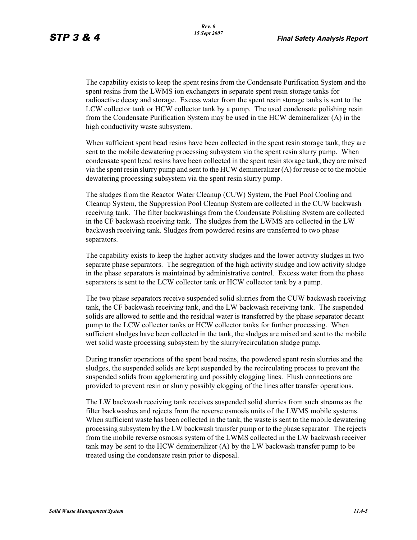The capability exists to keep the spent resins from the Condensate Purification System and the spent resins from the LWMS ion exchangers in separate spent resin storage tanks for radioactive decay and storage. Excess water from the spent resin storage tanks is sent to the LCW collector tank or HCW collector tank by a pump. The used condensate polishing resin from the Condensate Purification System may be used in the HCW demineralizer (A) in the high conductivity waste subsystem.

When sufficient spent bead resins have been collected in the spent resin storage tank, they are sent to the mobile dewatering processing subsystem via the spent resin slurry pump. When condensate spent bead resins have been collected in the spent resin storage tank, they are mixed via the spent resin slurry pump and sent to the HCW demineralizer (A) for reuse or to the mobile dewatering processing subsystem via the spent resin slurry pump.

The sludges from the Reactor Water Cleanup (CUW) System, the Fuel Pool Cooling and Cleanup System, the Suppression Pool Cleanup System are collected in the CUW backwash receiving tank. The filter backwashings from the Condensate Polishing System are collected in the CF backwash receiving tank. The sludges from the LWMS are collected in the LW backwash receiving tank. Sludges from powdered resins are transferred to two phase separators.

The capability exists to keep the higher activity sludges and the lower activity sludges in two separate phase separators. The segregation of the high activity sludge and low activity sludge in the phase separators is maintained by administrative control. Excess water from the phase separators is sent to the LCW collector tank or HCW collector tank by a pump.

The two phase separators receive suspended solid slurries from the CUW backwash receiving tank, the CF backwash receiving tank, and the LW backwash receiving tank. The suspended solids are allowed to settle and the residual water is transferred by the phase separator decant pump to the LCW collector tanks or HCW collector tanks for further processing. When sufficient sludges have been collected in the tank, the sludges are mixed and sent to the mobile wet solid waste processing subsystem by the slurry/recirculation sludge pump.

During transfer operations of the spent bead resins, the powdered spent resin slurries and the sludges, the suspended solids are kept suspended by the recirculating process to prevent the suspended solids from agglomerating and possibly clogging lines. Flush connections are provided to prevent resin or slurry possibly clogging of the lines after transfer operations.

The LW backwash receiving tank receives suspended solid slurries from such streams as the filter backwashes and rejects from the reverse osmosis units of the LWMS mobile systems. When sufficient waste has been collected in the tank, the waste is sent to the mobile dewatering processing subsystem by the LW backwash transfer pump or to the phase separator. The rejects from the mobile reverse osmosis system of the LWMS collected in the LW backwash receiver tank may be sent to the HCW demineralizer (A) by the LW backwash transfer pump to be treated using the condensate resin prior to disposal.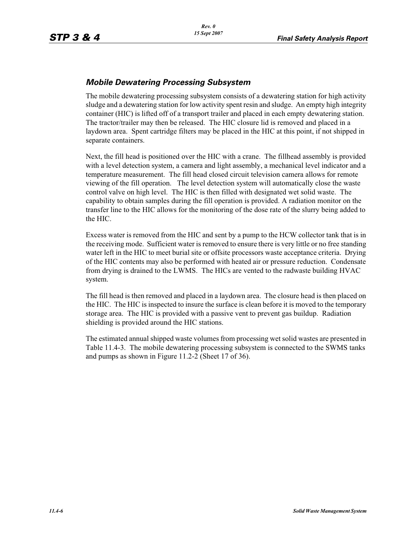## *Mobile Dewatering Processing Subsystem*

The mobile dewatering processing subsystem consists of a dewatering station for high activity sludge and a dewatering station for low activity spent resin and sludge. An empty high integrity container (HIC) is lifted off of a transport trailer and placed in each empty dewatering station. The tractor/trailer may then be released. The HIC closure lid is removed and placed in a laydown area. Spent cartridge filters may be placed in the HIC at this point, if not shipped in separate containers.

Next, the fill head is positioned over the HIC with a crane. The fillhead assembly is provided with a level detection system, a camera and light assembly, a mechanical level indicator and a temperature measurement. The fill head closed circuit television camera allows for remote viewing of the fill operation. The level detection system will automatically close the waste control valve on high level. The HIC is then filled with designated wet solid waste. The capability to obtain samples during the fill operation is provided. A radiation monitor on the transfer line to the HIC allows for the monitoring of the dose rate of the slurry being added to the HIC.

Excess water is removed from the HIC and sent by a pump to the HCW collector tank that is in the receiving mode. Sufficient water is removed to ensure there is very little or no free standing water left in the HIC to meet burial site or offsite processors waste acceptance criteria. Drying of the HIC contents may also be performed with heated air or pressure reduction. Condensate from drying is drained to the LWMS. The HICs are vented to the radwaste building HVAC system.

The fill head is then removed and placed in a laydown area. The closure head is then placed on the HIC. The HIC is inspected to insure the surface is clean before it is moved to the temporary storage area. The HIC is provided with a passive vent to prevent gas buildup. Radiation shielding is provided around the HIC stations.

The estimated annual shipped waste volumes from processing wet solid wastes are presented in Table 11.4-3. The mobile dewatering processing subsystem is connected to the SWMS tanks and pumps as shown in Figure 11.2-2 (Sheet 17 of 36).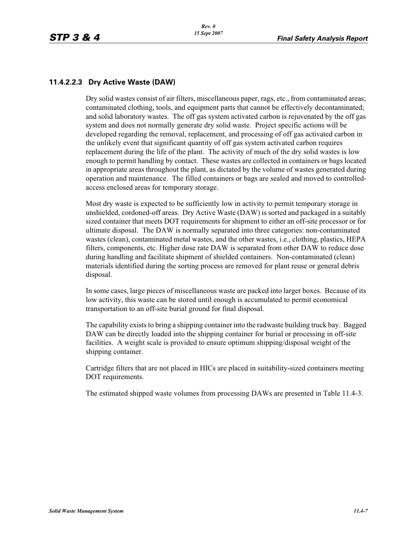## **11.4.2.2.3 Dry Active Waste (DAW)**

Dry solid wastes consist of air filters, miscellaneous paper, rags, etc., from contaminated areas; contaminated clothing, tools, and equipment parts that cannot be effectively decontaminated; and solid laboratory wastes. The off gas system activated carbon is rejuvenated by the off gas system and does not normally generate dry solid waste. Project specific actions will be developed regarding the removal, replacement, and processing of off gas activated carbon in the unlikely event that significant quantity of off gas system activated carbon requires replacement during the life of the plant. The activity of much of the dry solid wastes is low enough to permit handling by contact. These wastes are collected in containers or bags located in appropriate areas throughout the plant, as dictated by the volume of wastes generated during operation and maintenance. The filled containers or bags are sealed and moved to controlledaccess enclosed areas for temporary storage.

Most dry waste is expected to be sufficiently low in activity to permit temporary storage in unshielded, cordoned-off areas. Dry Active Waste (DAW) is sorted and packaged in a suitably sized container that meets DOT requirements for shipment to either an off-site processor or for ultimate disposal. The DAW is normally separated into three categories: non-contaminated wastes (clean), contaminated metal wastes, and the other wastes, i.e., clothing, plastics, HEPA filters, components, etc. Higher dose rate DAW is separated from other DAW to reduce dose during handling and facilitate shipment of shielded containers. Non-contaminated (clean) materials identified during the sorting process are removed for plant reuse or general debris disposal.

In some cases, large pieces of miscellaneous waste are packed into larger boxes. Because of its low activity, this waste can be stored until enough is accumulated to permit economical transportation to an off-site burial ground for final disposal.

The capability exists to bring a shipping container into the radwaste building truck bay. Bagged DAW can be directly loaded into the shipping container for burial or processing in off-site facilities. A weight scale is provided to ensure optimum shipping/disposal weight of the shipping container.

Cartridge filters that are not placed in HICs are placed in suitability-sized containers meeting DOT requirements.

The estimated shipped waste volumes from processing DAWs are presented in Table 11.4-3.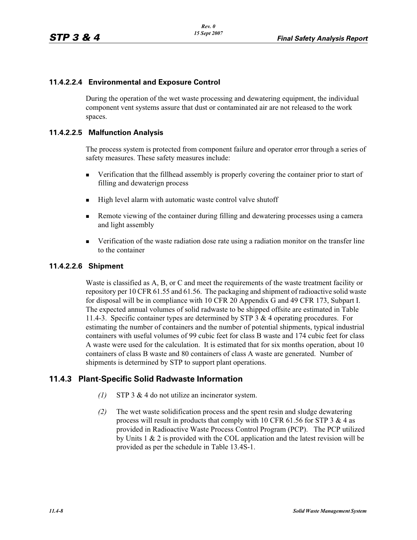## **11.4.2.2.4 Environmental and Exposure Control**

During the operation of the wet waste processing and dewatering equipment, the individual component vent systems assure that dust or contaminated air are not released to the work spaces.

### **11.4.2.2.5 Malfunction Analysis**

The process system is protected from component failure and operator error through a series of safety measures. These safety measures include:

- - Verification that the fillhead assembly is properly covering the container prior to start of filling and dewaterign process
- -High level alarm with automatic waste control valve shutoff
- - Remote viewing of the container during filling and dewatering processes using a camera and light assembly
- **Example 3** Verification of the waste radiation dose rate using a radiation monitor on the transfer line to the container

### **11.4.2.2.6 Shipment**

Waste is classified as A, B, or C and meet the requirements of the waste treatment facility or repository per 10 CFR 61.55 and 61.56. The packaging and shipment of radioactive solid waste for disposal will be in compliance with 10 CFR 20 Appendix G and 49 CFR 173, Subpart I. The expected annual volumes of solid radwaste to be shipped offsite are estimated in Table 11.4-3. Specific container types are determined by STP 3 & 4 operating procedures. For estimating the number of containers and the number of potential shipments, typical industrial containers with useful volumes of 99 cubic feet for class B waste and 174 cubic feet for class A waste were used for the calculation. It is estimated that for six months operation, about 10 containers of class B waste and 80 containers of class A waste are generated. Number of shipments is determined by STP to support plant operations.

## **11.4.3 Plant-Specific Solid Radwaste Information**

- *(1)* STP 3 & 4 do not utilize an incinerator system.
- *(2)* The wet waste solidification process and the spent resin and sludge dewatering process will result in products that comply with 10 CFR 61.56 for STP  $3 \& 4$  as provided in Radioactive Waste Process Control Program (PCP). The PCP utilized by Units 1 & 2 is provided with the COL application and the latest revision will be provided as per the schedule in Table 13.4S-1.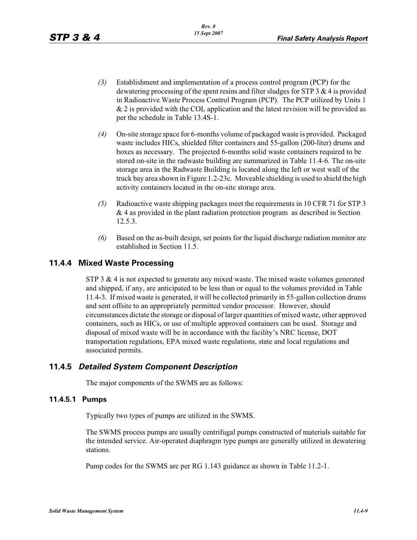- *(3)* Establishment and implementation of a process control program (PCP) for the dewatering processing of the spent resins and filter sludges for STP 3 & 4 is provided in Radioactive Waste Process Control Program (PCP). The PCP utilized by Units 1 & 2 is provided with the COL application and the latest revision will be provided as per the schedule in Table 13.4S-1.
- *(4)* On-site storage space for 6-months volume of packaged waste is provided. Packaged waste includes HICs, shielded filter containers and 55-gallon (200-liter) drums and boxes as necessary. The projected 6-months solid waste containers required to be stored on-site in the radwaste building are summarized in Table 11.4-6. The on-site storage area in the Radwaste Building is located along the left or west wall of the truck bay area shown in Figure 1.2-23c. Moveable shielding is used to shield the high activity containers located in the on-site storage area.
- *(5)* Radioactive waste shipping packages meet the requirements in 10 CFR 71 for STP 3  $& 4$  as provided in the plant radiation protection program as described in Section 12.5.3.
- *(6)* Based on the as-built design, set points for the liquid discharge radiation monitor are established in Section 11.5.

## **11.4.4 Mixed Waste Processing**

STP 3  $\&$  4 is not expected to generate any mixed waste. The mixed waste volumes generated and shipped, if any, are anticipated to be less than or equal to the volumes provided in Table 11.4-3. If mixed waste is generated, it will be collected primarily in 55-gallon collection drums and sent offsite to an appropriately permitted vendor processor. However, should circumstances dictate the storage or disposal of larger quantities of mixed waste, other approved containers, such as HICs, or use of multiple approved containers can be used. Storage and disposal of mixed waste will be in accordance with the facility's NRC license, DOT transportation regulations, EPA mixed waste regulations, state and local regulations and associated permits.

## **11.4.5** *Detailed System Component Description*

The major components of the SWMS are as follows:

#### **11.4.5.1 Pumps**

Typically two types of pumps are utilized in the SWMS.

The SWMS process pumps are usually centrifugal pumps constructed of materials suitable for the intended service. Air-operated diaphragm type pumps are generally utilized in dewatering stations.

Pump codes for the SWMS are per RG 1.143 guidance as shown in Table 11.2-1.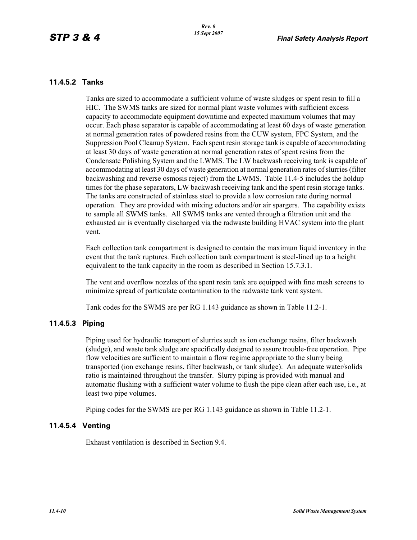#### **11.4.5.2 Tanks**

Tanks are sized to accommodate a sufficient volume of waste sludges or spent resin to fill a HIC. The SWMS tanks are sized for normal plant waste volumes with sufficient excess capacity to accommodate equipment downtime and expected maximum volumes that may occur. Each phase separator is capable of accommodating at least 60 days of waste generation at normal generation rates of powdered resins from the CUW system, FPC System, and the Suppression Pool Cleanup System. Each spent resin storage tank is capable of accommodating at least 30 days of waste generation at normal generation rates of spent resins from the Condensate Polishing System and the LWMS. The LW backwash receiving tank is capable of accommodating at least 30 days of waste generation at normal generation rates of slurries (filter backwashing and reverse osmosis reject) from the LWMS. Table 11.4-5 includes the holdup times for the phase separators, LW backwash receiving tank and the spent resin storage tanks. The tanks are constructed of stainless steel to provide a low corrosion rate during normal operation. They are provided with mixing eductors and/or air spargers. The capability exists to sample all SWMS tanks. All SWMS tanks are vented through a filtration unit and the exhausted air is eventually discharged via the radwaste building HVAC system into the plant vent.

Each collection tank compartment is designed to contain the maximum liquid inventory in the event that the tank ruptures. Each collection tank compartment is steel-lined up to a height equivalent to the tank capacity in the room as described in Section 15.7.3.1.

The vent and overflow nozzles of the spent resin tank are equipped with fine mesh screens to minimize spread of particulate contamination to the radwaste tank vent system.

Tank codes for the SWMS are per RG 1.143 guidance as shown in Table 11.2-1.

#### **11.4.5.3 Piping**

Piping used for hydraulic transport of slurries such as ion exchange resins, filter backwash (sludge), and waste tank sludge are specifically designed to assure trouble-free operation. Pipe flow velocities are sufficient to maintain a flow regime appropriate to the slurry being transported (ion exchange resins, filter backwash, or tank sludge). An adequate water/solids ratio is maintained throughout the transfer. Slurry piping is provided with manual and automatic flushing with a sufficient water volume to flush the pipe clean after each use, i.e., at least two pipe volumes.

Piping codes for the SWMS are per RG 1.143 guidance as shown in Table 11.2-1.

#### **11.4.5.4 Venting**

Exhaust ventilation is described in Section 9.4.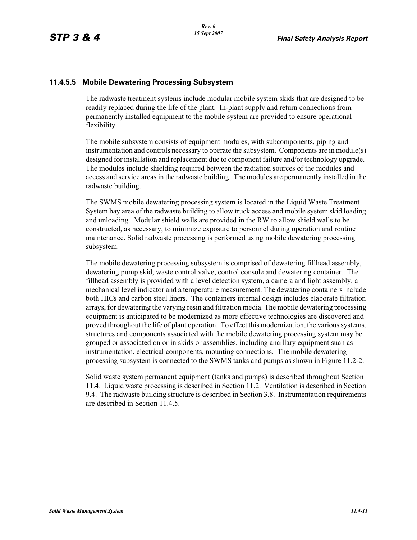### **11.4.5.5 Mobile Dewatering Processing Subsystem**

The radwaste treatment systems include modular mobile system skids that are designed to be readily replaced during the life of the plant. In-plant supply and return connections from permanently installed equipment to the mobile system are provided to ensure operational flexibility.

The mobile subsystem consists of equipment modules, with subcomponents, piping and instrumentation and controls necessary to operate the subsystem. Components are in module(s) designed for installation and replacement due to component failure and/or technology upgrade. The modules include shielding required between the radiation sources of the modules and access and service areas in the radwaste building. The modules are permanently installed in the radwaste building.

The SWMS mobile dewatering processing system is located in the Liquid Waste Treatment System bay area of the radwaste building to allow truck access and mobile system skid loading and unloading. Modular shield walls are provided in the RW to allow shield walls to be constructed, as necessary, to minimize exposure to personnel during operation and routine maintenance. Solid radwaste processing is performed using mobile dewatering processing subsystem.

The mobile dewatering processing subsystem is comprised of dewatering fillhead assembly, dewatering pump skid, waste control valve, control console and dewatering container. The fillhead assembly is provided with a level detection system, a camera and light assembly, a mechanical level indicator and a temperature measurement. The dewatering containers include both HICs and carbon steel liners. The containers internal design includes elaborate filtration arrays, for dewatering the varying resin and filtration media. The mobile dewatering processing equipment is anticipated to be modernized as more effective technologies are discovered and proved throughout the life of plant operation. To effect this modernization, the various systems, structures and components associated with the mobile dewatering processing system may be grouped or associated on or in skids or assemblies, including ancillary equipment such as instrumentation, electrical components, mounting connections. The mobile dewatering processing subsystem is connected to the SWMS tanks and pumps as shown in Figure 11.2-2.

Solid waste system permanent equipment (tanks and pumps) is described throughout Section 11.4. Liquid waste processing is described in Section 11.2. Ventilation is described in Section 9.4. The radwaste building structure is described in Section 3.8. Instrumentation requirements are described in Section 11.4.5.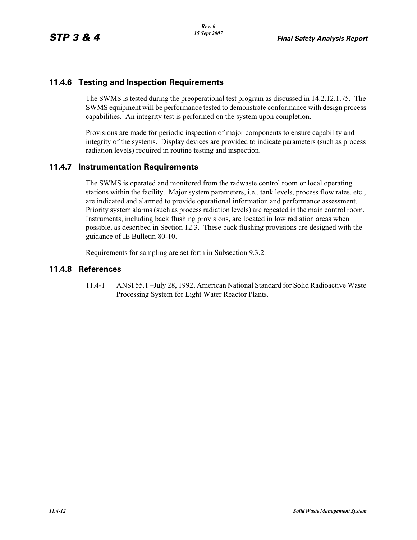## **11.4.6 Testing and Inspection Requirements**

The SWMS is tested during the preoperational test program as discussed in 14.2.12.1.75. The SWMS equipment will be performance tested to demonstrate conformance with design process capabilities. An integrity test is performed on the system upon completion.

Provisions are made for periodic inspection of major components to ensure capability and integrity of the systems. Display devices are provided to indicate parameters (such as process radiation levels) required in routine testing and inspection.

## **11.4.7 Instrumentation Requirements**

The SWMS is operated and monitored from the radwaste control room or local operating stations within the facility. Major system parameters, i.e., tank levels, process flow rates, etc., are indicated and alarmed to provide operational information and performance assessment. Priority system alarms (such as process radiation levels) are repeated in the main control room. Instruments, including back flushing provisions, are located in low radiation areas when possible, as described in Section 12.3. These back flushing provisions are designed with the guidance of IE Bulletin 80-10.

Requirements for sampling are set forth in Subsection 9.3.2.

### **11.4.8 References**

11.4-1 ANSI 55.1 –July 28, 1992, American National Standard for Solid Radioactive Waste Processing System for Light Water Reactor Plants.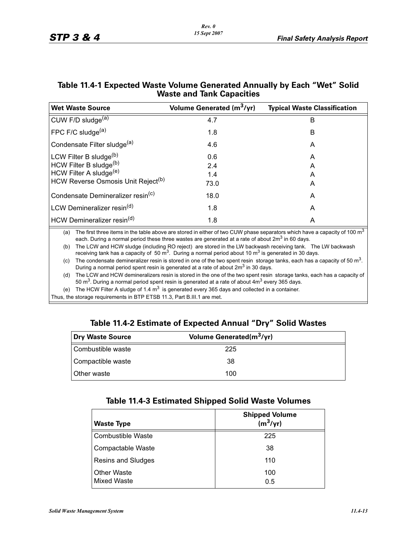|                                                                                                                                                                                                                                                    | <b>viaste and lank Capacities</b>                                                                                                                                                                                      |                                                                                                                                      |  |  |  |  |
|----------------------------------------------------------------------------------------------------------------------------------------------------------------------------------------------------------------------------------------------------|------------------------------------------------------------------------------------------------------------------------------------------------------------------------------------------------------------------------|--------------------------------------------------------------------------------------------------------------------------------------|--|--|--|--|
| <b>Wet Waste Source</b>                                                                                                                                                                                                                            | Volume Generated (m <sup>3</sup> /yr)                                                                                                                                                                                  | <b>Typical Waste Classification</b>                                                                                                  |  |  |  |  |
| CUW F/D sludge <sup>(a)</sup>                                                                                                                                                                                                                      | 4.7                                                                                                                                                                                                                    | B                                                                                                                                    |  |  |  |  |
| FPC F/C sludge <sup>(a)</sup>                                                                                                                                                                                                                      | 1.8                                                                                                                                                                                                                    | B                                                                                                                                    |  |  |  |  |
| Condensate Filter sludge(a)                                                                                                                                                                                                                        | 4.6                                                                                                                                                                                                                    | A                                                                                                                                    |  |  |  |  |
| LCW Filter B sludge <sup>(b)</sup>                                                                                                                                                                                                                 | 0.6                                                                                                                                                                                                                    | A                                                                                                                                    |  |  |  |  |
| HCW Filter B sludge <sup>(b)</sup>                                                                                                                                                                                                                 | 2.4                                                                                                                                                                                                                    | A                                                                                                                                    |  |  |  |  |
| HCW Filter A sludge <sup>(e)</sup>                                                                                                                                                                                                                 | 1.4                                                                                                                                                                                                                    | A                                                                                                                                    |  |  |  |  |
| HCW Reverse Osmosis Unit Reject <sup>(b)</sup>                                                                                                                                                                                                     | 73.0                                                                                                                                                                                                                   | A                                                                                                                                    |  |  |  |  |
| Condensate Demineralizer resin <sup>(c)</sup>                                                                                                                                                                                                      | 18.0                                                                                                                                                                                                                   | A                                                                                                                                    |  |  |  |  |
| LCW Demineralizer resin <sup>(d)</sup>                                                                                                                                                                                                             | 1.8                                                                                                                                                                                                                    | A                                                                                                                                    |  |  |  |  |
| HCW Demineralizer resin <sup>(d)</sup>                                                                                                                                                                                                             | 1.8                                                                                                                                                                                                                    | A                                                                                                                                    |  |  |  |  |
| The first three items in the table above are stored in either of two CUW phase separators which have a capacity of 100 $m3$<br>(a)<br>each. During a normal period these three wastes are generated at a rate of about 2m <sup>3</sup> in 60 days. |                                                                                                                                                                                                                        |                                                                                                                                      |  |  |  |  |
| (b)                                                                                                                                                                                                                                                | The LCW and HCW sludge (including RO reject) are stored in the LW backwash receiving tank. The LW backwash<br>receiving tank has a capacity of 50 $m3$ . During a normal period about 10 $m3$ is generated in 30 days. |                                                                                                                                      |  |  |  |  |
| (c)                                                                                                                                                                                                                                                | During a normal period spent resin is generated at a rate of about 2m <sup>3</sup> in 30 days.                                                                                                                         | The condensate demineralizer resin is stored in one of the two spent resin storage tanks, each has a capacity of 50 m <sup>3</sup> . |  |  |  |  |

## **Table 11.4-1 Expected Waste Volume Generated Annually by Each "Wet" Solid Waste and Tank Capacities**

(d) The LCW and HCW demineralizers resin is stored in the one of the two spent resin storage tanks, each has a capacity of 50 m<sup>3</sup>. During a normal period spent resin is generated at a rate of about  $4m<sup>3</sup>$  every 365 days.

(e) The HCW Filter A sludge of 1.4  $m^3$  is generated every 365 days and collected in a container.

Thus, the storage requirements in BTP ETSB 11.3, Part B.III.1 are met.

## **Table 11.4-2 Estimate of Expected Annual "Dry" Solid Wastes**

| Dry Waste Source    | Volume Generated(m <sup>3</sup> /yr) |  |
|---------------------|--------------------------------------|--|
| l Combustible waste | 225                                  |  |
| Compactible waste   | 38                                   |  |
| <b>Other waste</b>  | 100                                  |  |

## **Table 11.4-3 Estimated Shipped Solid Waste Volumes**

| <b>Waste Type</b>                        | <b>Shipped Volume</b><br>$(m^3/yr)$ |
|------------------------------------------|-------------------------------------|
| <b>Combustible Waste</b>                 | 225                                 |
| Compactable Waste                        | 38                                  |
| Resins and Sludges                       | 110                                 |
| <b>Other Waste</b><br><b>Mixed Waste</b> | 100<br>0.5                          |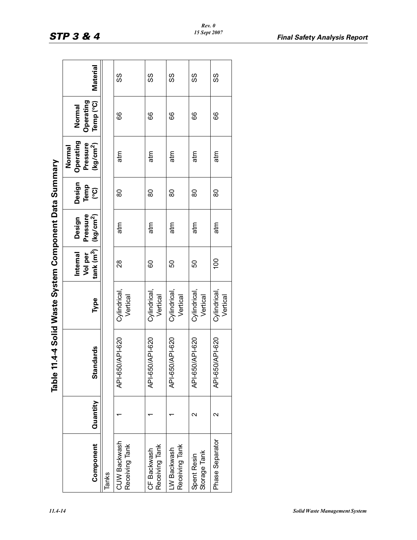| 5<br>í<br>Ç |
|-------------|
| ă<br>Í      |
| `omonomo'   |
| stem r      |
| í<br>ó      |
| į<br>ここり    |
| .<br>ວ      |
|             |

|                                |                    | Table 11            | 4-4 Solid Waste System Component Data Summary. |                                                     |                                           |                               |                                                          |                                  |          |
|--------------------------------|--------------------|---------------------|------------------------------------------------|-----------------------------------------------------|-------------------------------------------|-------------------------------|----------------------------------------------------------|----------------------------------|----------|
| Component                      | Quantity           | <b>Standards</b>    | Type                                           | $\text{tank}$ $\text{(m}^3)$<br>Internal<br>Vol per | Pressure<br>$\frac{kg/cm^2}{2}$<br>Design | Design<br>Temp<br>(၁ <u>၀</u> | Operating<br>Pressure<br>(kg/cm <sup>2</sup> )<br>Normal | Temp (°C)<br>Operating<br>Normal | Material |
| Tanks                          |                    |                     |                                                |                                                     |                                           |                               |                                                          |                                  |          |
| CUW Backwash<br>Receiving Tank |                    | API-620<br>API-650, | Cylindrical<br>Vertical                        | $\frac{8}{2}$                                       | atm                                       | 80                            | atm                                                      | 89                               | လ္တ      |
| Receiving Tank<br>CF Backwash  |                    | API-620<br>API-650  | Cylindrical,<br>Vertical                       | 60                                                  | atm                                       | 80                            | atm                                                      | 66                               | ပ္ပ      |
| Receiving Tank<br>LW Backwash  |                    | API-620<br>API-650  | Cylindrical,<br>Vertical                       | 50                                                  | atm                                       | 80                            | atm                                                      | 89                               | လွ       |
| Storage Tank<br>Spent Resin    | $\scriptstyle\sim$ | API-650/API-620     | Cylindrical,<br>Vertical                       | 50                                                  | atm                                       | 80                            | atm                                                      | 89                               | SS       |
| Phase Separator                | $\mathbf{\sim}$    | API-650/API-620     | Cylindrical,<br>Vertical                       | $\overline{00}$                                     | atm                                       | 80                            | atm                                                      | 89                               | SS       |
|                                |                    |                     |                                                |                                                     |                                           |                               |                                                          |                                  |          |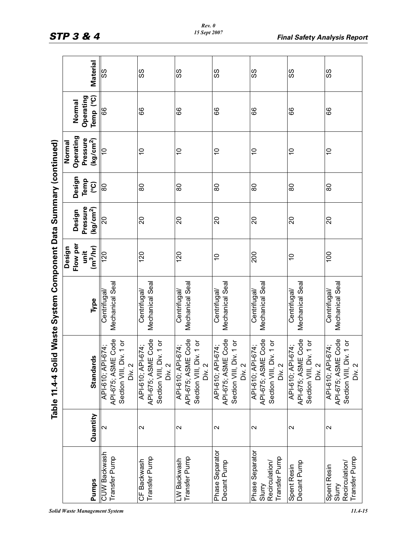|                                                    | Material                                                 | SS                                                                           | SS                                                                           | SS                                                                           | SS                                                                           | SS                                                                           | SS                                                                           | SS                                                                           |
|----------------------------------------------------|----------------------------------------------------------|------------------------------------------------------------------------------|------------------------------------------------------------------------------|------------------------------------------------------------------------------|------------------------------------------------------------------------------|------------------------------------------------------------------------------|------------------------------------------------------------------------------|------------------------------------------------------------------------------|
|                                                    | Operating<br>Temp <sup>(°C)</sup><br>Normal              | 66                                                                           | 89                                                                           | 89                                                                           | 66                                                                           | 89                                                                           | 89                                                                           | 89                                                                           |
|                                                    | Operating<br>Pressure<br>(kg/cm <sup>2</sup> )<br>Normal | 01                                                                           | $\overline{0}$                                                               | $\overline{C}$                                                               | $\overline{0}$                                                               | $\overline{0}$                                                               | $\overline{0}$                                                               | $\overline{C}$                                                               |
|                                                    | Design<br>Temp<br>(၁၀)                                   | $\overline{08}$                                                              | 80                                                                           | 80                                                                           | 80                                                                           | 80                                                                           | 80                                                                           | 80                                                                           |
|                                                    | Pressure<br>(kg/cm <sup>2</sup> )<br>Design              | 0Z                                                                           | $\overline{c}$                                                               | $\overline{c}$                                                               | $\overline{20}$                                                              | $\Omega$                                                                     | 20                                                                           | $\overline{c}$                                                               |
|                                                    | Flow per<br>(m <sup>3</sup> /hr)<br>Design<br>unit       | 120                                                                          | 120                                                                          | 120                                                                          | $\overline{0}$                                                               | 200                                                                          | $\frac{1}{2}$                                                                | 100                                                                          |
| id Waste System Component Data Summary (continued) | Type                                                     | Mechanical Seal<br>Centrifugal                                               | Mechanical Seal<br>Centrifugal/                                              | Mechanical Seal<br>Centrifugal/                                              | Mechanical Seal<br>Centrifugal/                                              | Mechanical Seal<br>Centrifugal/                                              | Mechanical Seal<br>Centrifugal/                                              | Mechanical Seal<br>Centrifugal/                                              |
| Table 11.4-4 Sol                                   | <b>Standards</b>                                         | API-675; ASME Code<br>Section VIII, Div. 1 or<br>API-610; API-674;<br>Div. 2 | API-675; ASME Code<br>Section VIII, Div. 1 or<br>API-610; API-674;<br>Div. 2 | API-675; ASME Code<br>Section VIII, Div. 1 or<br>API-610; API-674;<br>Div. 2 | API-675; ASME Code<br>Section VIII, Div. 1 or<br>API-610; API-674;<br>Div. 2 | API-675; ASME Code<br>Section VIII, Div. 1 or<br>API-610; API-674;<br>Div. 2 | API-675; ASME Code<br>Section VIII, Div. 1 or<br>API-610; API-674;<br>Div. 2 | API-675; ASME Code<br>Section VIII, Div. 1 or<br>API-610; API-674;<br>Div. 2 |
|                                                    | Quantity                                                 | $\mathbf{\Omega}$                                                            | $\mathbf{\Omega}$                                                            | $\mathbf{\Omega}$                                                            | $\mathbf{\Omega}$                                                            | $\sim$                                                                       | $\mathbf{\Omega}$                                                            | $\mathbf{\Omega}$                                                            |
|                                                    | Pumps                                                    | CUW Backwash<br>Transfer Pump                                                | Transfer Pump<br>CF Backwash                                                 | Transfer Pump<br>LW Backwash                                                 | Phase Separator<br>Decant Pump                                               | Phase Separator<br>Transfer Pump<br>Recirculation/<br>Slurry                 | Decant Pump<br>Spent Resin                                                   | Transfer Pump<br>Recirculation/<br>Spent Resin<br>Slurry                     |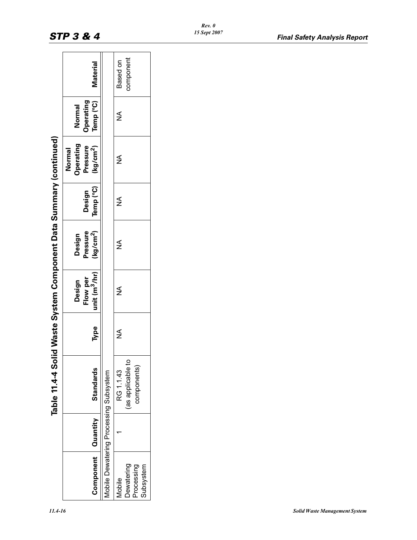|                                                 | Table 11.4-4 Solid                            |      | Waste System Component Data Summary (continued) |                                             |                     |                                                                 |                                         |                       |
|-------------------------------------------------|-----------------------------------------------|------|-------------------------------------------------|---------------------------------------------|---------------------|-----------------------------------------------------------------|-----------------------------------------|-----------------------|
| Component Quantity                              | <b>Standards</b>                              | Type | unit $(m^3/hr)$<br>Flow per<br>Design           | (kg/cm <sup>2</sup> )<br>Pressure<br>Design | Temp (°C)<br>Design | <b>Operating</b><br>Pressure<br>(kg/cm <sup>2</sup> )<br>Normal | Temp (°C)<br><b>Operating</b><br>Normal | <b>Material</b>       |
| Mobile Dewatering Processing Subsystem          |                                               |      |                                                 |                                             |                     |                                                                 |                                         |                       |
| Dewatering<br>Subsystem<br>Processing<br>Mobile | (as applicable to<br>components)<br>RG 1.1.43 | ≸    | ≸                                               | ≨                                           | ≸                   | ≸                                                               | ⋚                                       | component<br>Based on |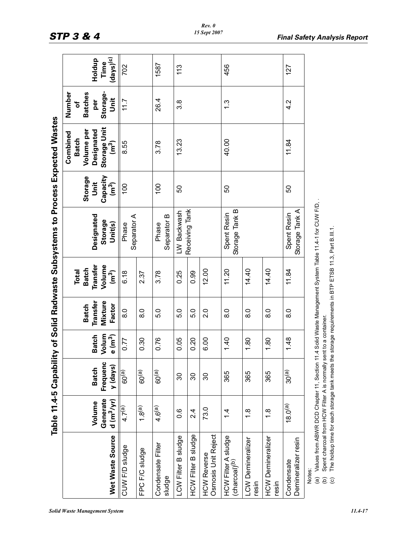| $\overline{\phantom{a}}$<br>J |
|-------------------------------|
| I                             |
|                               |
|                               |
| $\overline{\phantom{a}}$      |
|                               |
|                               |
|                               |
|                               |
| i                             |

|                                                                                                                                                                                                                                                                     |                                    |                                      |                                   |                                                      |                                                                                | Table 11.4-5 Capability of Solid Radwaste Subsystems to Process Expected Wastes |                                                                |                                                                                        |                                                          |                                  |
|---------------------------------------------------------------------------------------------------------------------------------------------------------------------------------------------------------------------------------------------------------------------|------------------------------------|--------------------------------------|-----------------------------------|------------------------------------------------------|--------------------------------------------------------------------------------|---------------------------------------------------------------------------------|----------------------------------------------------------------|----------------------------------------------------------------------------------------|----------------------------------------------------------|----------------------------------|
| Wet Waste Source                                                                                                                                                                                                                                                    | Generate<br>$d (m^3/yr)$<br>Volume | Frequenc<br>y (days)<br><b>Batch</b> | Volum<br><b>Batch</b><br>$e(m^3)$ | <b>Mixture</b><br>Transfer<br>Factor<br><b>Batch</b> | <b>Transfer</b><br>Volume<br><b>Batch</b><br><b>Total</b><br>(m <sup>3</sup> ) | Designated<br><b>Storage</b><br>Unit(s)                                         | Capacity<br><b>Storage</b><br><b>Jnit</b><br>(m <sup>3</sup> ) | Storage Unit<br>Designated<br>Volume per<br>Combined<br><b>Batch</b><br>$\binom{3}{2}$ | Number<br>Storage-<br><b>Batches</b><br>Unit<br>per<br>৳ | $(days)^{(c)}$<br>Holdup<br>Time |
| CUW F/D sludge<br>FPC F/C sludge                                                                                                                                                                                                                                    | $1.8^{(a)}$<br>4.7 <sup>(a)</sup>  | 60 <sup>(a)</sup><br>$60^{(a)}$      | 0.30<br>0.77                      | 8.0<br>8.0                                           | 6.18<br>2.37                                                                   | Separator A<br>Phase                                                            | 100                                                            | 8.55                                                                                   | 11.7                                                     | 702                              |
| Condensate Filter<br>sludge                                                                                                                                                                                                                                         | 4.6 <sup>(a)</sup>                 | 60 <sup>(a)</sup>                    | 0.76                              | 5.0                                                  | 3.78                                                                           | Separator B<br>Phase                                                            | 100                                                            | 3.78                                                                                   | 26.4                                                     | 1587                             |
| LCW Filter B sludge                                                                                                                                                                                                                                                 | $0.\overline{6}$                   | 30                                   | 0.05                              | 5.0                                                  | 0.25                                                                           | LW Backwash                                                                     | 50                                                             | 13.23                                                                                  | 3.8                                                      | 113                              |
| <b>HCW Filter B sludge</b>                                                                                                                                                                                                                                          | 2.4                                | 30                                   | 0.20                              | 5.0                                                  | 0.99                                                                           | Receiving Tank                                                                  |                                                                |                                                                                        |                                                          |                                  |
| Osmosis Unit Reject<br><b>HCW Reverse</b>                                                                                                                                                                                                                           | 73.0                               | 30                                   | 6.00                              | 2.0                                                  | 12.00                                                                          |                                                                                 |                                                                |                                                                                        |                                                          |                                  |
| HCW Filter A sludge<br>(charcoal) <sup>(b)</sup>                                                                                                                                                                                                                    | $1\overline{4}$                    | 365                                  | 1.40                              | $\frac{0}{8}$                                        | 11.20                                                                          | Storage Tank B<br>Spent Resin                                                   | 50                                                             | 40.00                                                                                  | $\frac{3}{1}$                                            | 456                              |
| LCW Demineralizer<br>resin                                                                                                                                                                                                                                          | $\frac{8}{1}$                      | 365                                  | 1.80                              | $\frac{0}{8}$                                        | 14.40                                                                          |                                                                                 |                                                                |                                                                                        |                                                          |                                  |
| <b>HCW Demineralizer</b><br>resin                                                                                                                                                                                                                                   | $\frac{8}{1}$                      | 365                                  | 1.80                              | $\frac{8}{6}$                                        | 14.40                                                                          |                                                                                 |                                                                |                                                                                        |                                                          |                                  |
| Demineralizer resin<br>Condensate                                                                                                                                                                                                                                   | $18.0^{(a)}$                       | 30 <sup>(a)</sup>                    | 1.48                              | $\frac{0}{8}$                                        | 11.84                                                                          | Storage Tank A<br>Spent Resin                                                   | 50                                                             | 11.84                                                                                  | 4.2                                                      | 127                              |
| The holdup time for each storage tank meets the storage requirements in BTP ETSB 11.3, Part B.III.1.<br>Spent charcoal from HCW Filter A is normally sent to a container.<br>Values from ABWR DCD Chapter 11, Section 11<br>Notes:<br>$\widehat{a}$<br>ê<br>$\odot$ |                                    |                                      |                                   |                                                      |                                                                                | 14 Solid Waste Management System Table 11.4-1 for CUW F/D,                      |                                                                |                                                                                        |                                                          |                                  |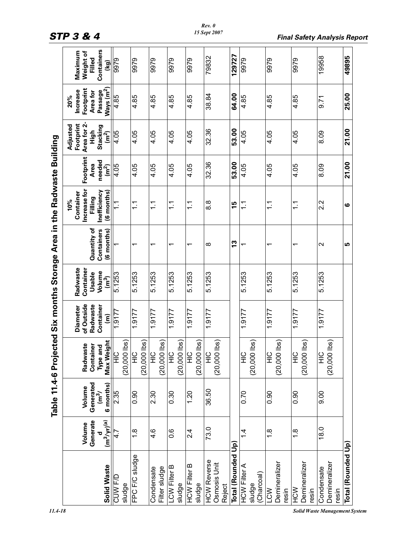| $\frac{1}{1}$             |
|---------------------------|
|                           |
|                           |
|                           |
|                           |
| <b>COD COD CODE STATE</b> |
|                           |
|                           |
| Í                         |
| <b>SASS 2017</b>          |
|                           |
| <b>CONTRACTOR</b>         |
|                           |
|                           |
|                           |
|                           |
|                           |
|                           |
|                           |
|                           |
| .<br>                     |

|                                           | Containers<br>Maximum<br>Weight of<br>Filled<br><u>କ</u>                                    | 6266                              | 9979                            | 9979                              | 9979                           | 9979                              | 79832                                        | 129727             | 9979                                        | 9979                                 | 9979                            | 19958                                                                        | 49895              |
|-------------------------------------------|---------------------------------------------------------------------------------------------|-----------------------------------|---------------------------------|-----------------------------------|--------------------------------|-----------------------------------|----------------------------------------------|--------------------|---------------------------------------------|--------------------------------------|---------------------------------|------------------------------------------------------------------------------|--------------------|
|                                           | Footprint<br>Passage<br>Ways (m <sup>2</sup> )<br><b>Increase</b><br>Area for<br>20%        | 4.85                              | 4.85                            | 4.85                              | 4.85                           | 4.85                              | 38.84                                        | 64.00              | 4.85                                        | 4.85                                 | 4.85                            | 9.71                                                                         | 25.00              |
|                                           | Area for 2-<br>Footprint<br>Adjusted<br>Stacking<br>는<br>도<br>$\frac{2}{\sqrt{2}}$          | 4.05                              | 4.05                            | 4.05                              | 4.05                           | 4.05                              | 32.36                                        | 53.00              | 4.05                                        | 4.05                                 | 4.05                            | 8.09                                                                         | 21.00              |
|                                           | Footprint<br>needed<br>(m <sup>2</sup> )<br>Area                                            | 4.05                              | 4.05                            | 4.05                              | 4.05                           | 4.05                              | 32.36                                        | 53.00              | 4.05                                        | 4.05                                 | 4.05                            | 8.09                                                                         | 21.00              |
| Area in the Radwaste Building             | Increase for<br>Inefficiency<br>(6 months)<br>Container<br>Filling<br>10%                   | $\tilde{\mathcal{L}}$             | $\frac{1}{1}$                   | $\frac{1}{1}$                     | $\frac{1}{1}$                  | $\frac{1}{\sqrt{2}}$              | $\frac{8}{8}$                                | 15                 | $\tilde{=}$                                 | $\frac{1}{1}$                        | $\frac{1}{1}$                   | 2.2                                                                          | ဖ                  |
|                                           | Quantity of<br>Containers<br>(6 months)                                                     |                                   | $\overline{\phantom{0}}$        | $\overline{\phantom{0}}$          | $\overline{\phantom{0}}$       | ᠇                                 | $\infty$                                     | <u>13</u>          |                                             | ᠇                                    | ↽                               | $\mathbf{\Omega}$                                                            | LO                 |
|                                           | Radwaste<br>Container<br>Volume<br>Usable<br>$\overline{(\mathfrak{m}^3)}$                  | 5.1253                            | 5.1253                          | 5.1253                            | 5.1253                         | 5.1253                            | 5.1253                                       |                    | 5.1253                                      | 5.1253                               | 5.1253                          | 5.1253                                                                       |                    |
|                                           | of Outside<br>Radwaste<br>Container<br><b>Diameter</b><br>$\widehat{\boldsymbol{\epsilon}}$ | 1.9177                            | 1.9177                          | 1.9177                            | 1.9177                         | 1.9177                            | 1.9177                                       |                    | 1.9177                                      | 1.9177                               | 1.9177                          | 1.9177                                                                       |                    |
| Table 11.4-6 Projected Six months Storage | Max Weight<br>Radwaste<br>Container<br>Type and                                             | isql<br>$rac{C}{\pm}$<br>(20,000) | isql<br>$rac{Q}{T}$<br>(20,000) | ibs)<br>$\frac{C}{T}$<br>(20,000) | isql<br><b>SIH</b><br>(20,000) | isgl<br>$\frac{Q}{I}$<br>(20,000) | ibs)<br>$\frac{C}{T}$<br>(20,000)            |                    | ibs)<br>$rac{Q}{\pm}$<br>(20,000)           | ibs)<br>$rac{C}{H}$<br>(20,000)      | ibs)<br>$rac{C}{H}$<br>(20,000) | lbs)<br>$rac{C}{H}$<br>(20,000)                                              |                    |
|                                           | Generated<br>$\frac{1}{(m^3/2)^2}$<br>6 months)<br>Volume                                   | $\overline{2.35}$                 | 0.90                            | 2.30                              | 0.30                           | 1.20                              | 36.50                                        |                    | 0.70                                        | 0.90                                 | 0.90                            | 0.6                                                                          |                    |
|                                           | Generate<br>$\frac{d}{(m^3/yr)^{(a)}}$<br>Volume                                            | 47<br>4                           | $\frac{8}{1}$                   | 4.6                               | $0.\overline{6}$               | 2.4                               | 73.0                                         |                    | $\frac{4}{4}$                               | $\frac{8}{1}$                        | $\frac{8}{1}$                   | 18.0                                                                         |                    |
| $11.4 - 18$                               | Solid Waste                                                                                 | CUW F/D<br>sludge                 | FPC F/C sludge                  | Filter sludge<br>Condensate       | LCW Filter B<br>sludge         | <b>HCW Filter B</b><br>sludge     | <b>HCW Reverse</b><br>Osmosis Unit<br>Reject | Total (Rounded Up) | <b>HCW Filter A</b><br>(Charcoal)<br>sludge | Demineralizer<br><b>NCD</b><br>resin | Demineralizer<br>NOH<br>resin   | Demineralizer<br>Condensate<br>resin<br><b>Solid Waste Management System</b> | Total (Rounded Up) |

*STP 3 & 4 Final Safety Analysis Report*